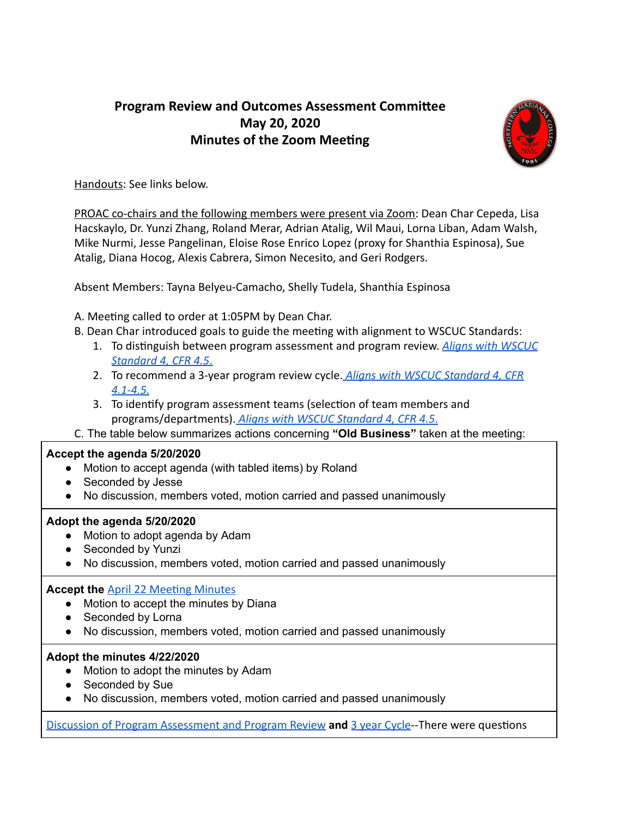# **Program Review and Outcomes Assessment Committee May 20, 2020 Minutes of the Zoom Meeting**



Handouts: See links below.

PROAC co-chairs and the following members were present via Zoom: Dean Char Cepeda, Lisa Hacskaylo, Dr. Yunzi Zhang, Roland Merar, Adrian Atalig, Wil Maui, Lorna Liban, Adam Walsh, Mike Nurmi, Jesse Pangelinan, Eloise Rose Enrico Lopez (proxy for Shanthia Espinosa), Sue Atalig, Diana Hocog, Alexis Cabrera, Simon Necesito, and Geri Rodgers.

Absent Members: Tayna Belyeu-Camacho, Shelly Tudela, Shanthia Espinosa

A. Meeting called to order at 1:05PM by Dean Char.

- B. Dean Char introduced goals to guide the meeting with alignment to WSCUC Standards:
	- 1. To distinguish between program assessment and program review. **Aligns with WSCUC** *[Standard 4, CFR 4.5](https://drive.google.com/file/d/15ccGFpz-IWDsvssbi4Fu4LY_ZjN49pDd/view?usp=sharing)* [.](https://drive.google.com/file/d/15ccGFpz-IWDsvssbi4Fu4LY_ZjN49pDd/view?usp=sharing)
	- 2. To recommend a 3-year program review cycle[.](https://drive.google.com/file/d/15ccGFpz-IWDsvssbi4Fu4LY_ZjN49pDd/view?usp=sharing) *[Aligns with WSCUC Standard 4, CFR](https://drive.google.com/file/d/15ccGFpz-IWDsvssbi4Fu4LY_ZjN49pDd/view?usp=sharing)  [4.1-4.5.](https://drive.google.com/file/d/15ccGFpz-IWDsvssbi4Fu4LY_ZjN49pDd/view?usp=sharing)*
	- 3. To identify program assessment teams (selection of team members and programs/departments). *[Aligns with WSCUC Standard 4, CFR 4.5](https://drive.google.com/file/d/15ccGFpz-IWDsvssbi4Fu4LY_ZjN49pDd/view?usp=sharing)* .
- C . The table below summarizes actions concerning **"Old Business"** taken at the meeting:

### **Accept the agenda 5/20/2020**

- Motion to accept agenda (with tabled items) by Roland
- Seconded by Jesse
- No discussion, members voted, motion carried and passed unanimously

## **Adopt the agenda 5/20/2020**

- Motion to adopt agenda by Adam
- Seconded by Yunzi
- No discussion, members voted, motion carried and passed unanimously

## **Accept the April 22 Meeting Minutes**

- Motion to accept the minutes by Diana
- Seconded by Lorna
- **●** No discussion, members voted, motion carried and passed unanimously

### **Adopt the minutes 4/22/2020**

- Motion to adopt the minutes by Adam
- Seconded by Sue
- **●** No discussion, members voted, motion carried and passed unanimously

[Discussion of Program Assessment and Program Review](https://docs.google.com/document/d/1HY7bwqXf1u_eu7RsR4y4rfZ-V06OchlmCObUmm7YLnw/edit) and [3 year Cycle](https://docs.google.com/presentation/d/1kY2yE-5ZW4wl0aV1MSZyuK_CwbfmP5tBqKePPNcQ7iw/edit#slide=id.g783f93365d_0_0)--There were questions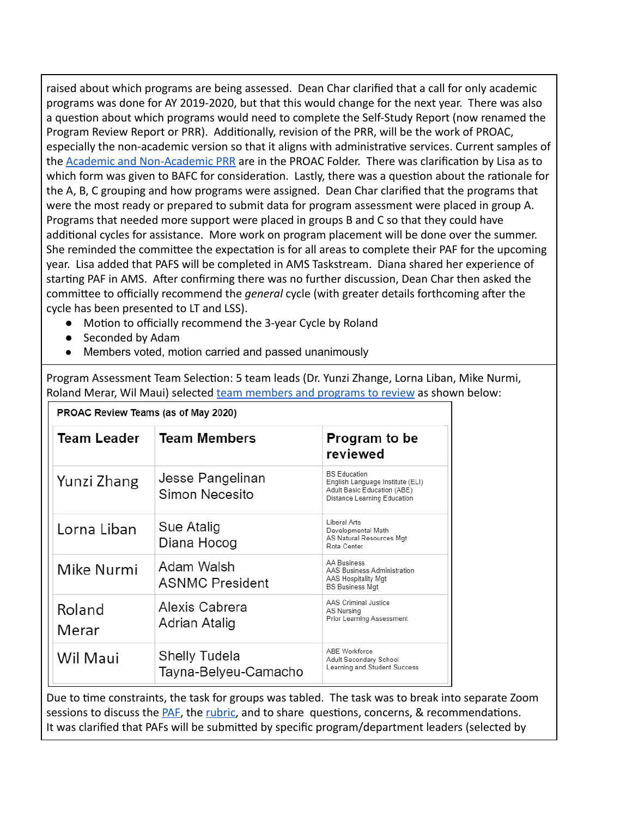raised about which programs are being assessed. Dean Char clarified that a call for only academic programs was done for AY 2019-2020, but that this would change for the next year. There was also a question about which programs would need to complete the Self-Study Report (now renamed the Program Review Report or PRR). Additionally, revision of the PRR, will be the work of PROAC, especially the non-academic version so that it aligns with administrative services. Current samples of the **Academic and Non-Academic PRR** are in the PROAC Folder. There was clarification by Lisa as to which form was given to BAFC for consideration. Lastly, there was a question about the rationale for the A, B, C grouping and how programs were assigned. Dean Char clarified that the programs that were the most ready or prepared to submit data for program assessment were placed in group A. Programs that needed more support were placed in groups B and C so that they could have additional cycles for assistance. More work on program placement will be done over the summer. She reminded the committee the expectation is for all areas to complete their PAF for the upcoming year. Lisa added that PAFS will be completed in AMS Taskstream. Diana shared her experience of starting PAF in AMS. After confirming there was no further discussion, Dean Char then asked the committee to officially recommend the *general* cycle (with greater details forthcoming after the cycle has been presented to LT and LSS).

- Motion to officially recommend the 3-year Cycle by Roland
- Seconded by Adam
- **●** Members voted, motion carried and passed unanimously

Program Assessment Team Selection: 5 team leads (Dr. Yunzi Zhange, Lorna Liban, Mike Nurmi, Roland Merar, Wil Maui) selected [team members and programs to review](https://drive.google.com/file/d/1g8i2wH0lh5skzTMIdluM7d4QA_D-Fal7/view?usp=sharing) as shown below:

| PROAC Review Teams (as of May 2020) |                                       |                                                                                                                       |
|-------------------------------------|---------------------------------------|-----------------------------------------------------------------------------------------------------------------------|
| <b>Team Leader</b>                  | <b>Team Members</b>                   | Program to be<br>reviewed                                                                                             |
| Yunzi Zhang                         | Jesse Pangelinan<br>Simon Necesito    | <b>BS Education</b><br>English Language Institute (ELI)<br>Adult Basic Education (ABE)<br>Distance Learning Education |
| Lorna Liban                         | Sue Atalig<br>Diana Hocog             | I iberal Arts<br>Developmental Math<br>AS Natural Resources Mgt<br>Rota Center                                        |
| Mike Nurmi                          | Adam Walsh<br><b>ASNMC President</b>  | AA Business<br>AAS Business Administration<br>AAS Hospitality Mgt<br><b>BS Business Mgt</b>                           |
| Roland<br>Merar                     | Alexis Cabrera<br>Adrian Atalig       | AAS Criminal Justice<br>AS Nursina<br>Prior Learning Assessment                                                       |
| Wil Maui                            | Shelly Tudela<br>Tayna-Belyeu-Camacho | ABE Workforce<br>Adult Secondary School<br>Learning and Student Success                                               |

Due to time constraints, the task for groups was tabled. The task was to break into separate Zoom sessions to discuss the **PAF**, the [rubric](https://drive.google.com/file/d/11EywV5QkiwQyCmpWVcfxSXzZi0R1OF0S/view?usp=sharing), and to share questions, concerns, & recommendations. It was clarified that PAFs will be submitted by specific program/department leaders (selected by